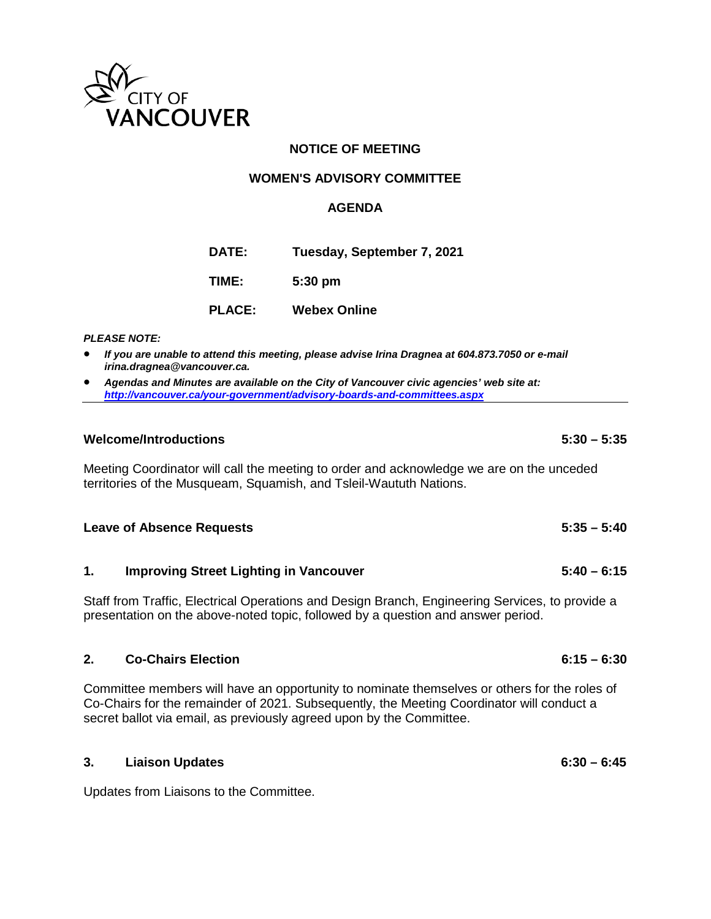

# **NOTICE OF MEETING**

## **WOMEN'S ADVISORY COMMITTEE**

## **AGENDA**

**DATE: Tuesday, September 7, 2021 TIME: 5:30 pm**

| <b>PLACE:</b> | <b>Webex Online</b> |  |
|---------------|---------------------|--|
|               |                     |  |

#### *PLEASE NOTE:*

- *If you are unable to attend this meeting, please advise Irina Dragnea at 604.873.7050 or e-mail irina.dragnea@vancouver.ca.*
- *Agendas and Minutes are available on the City of Vancouver civic agencies' web site at: <http://vancouver.ca/your-government/advisory-boards-and-committees.aspx>*

### **Welcome/Introductions 5:30 – 5:35**

Meeting Coordinator will call the meeting to order and acknowledge we are on the unceded territories of the Musqueam, Squamish, and Tsleil-Waututh Nations.

### **Leave of Absence Requests 5:35 – 5:40**

## **1. Improving Street Lighting in Vancouver 5:40 – 6:15**

Staff from Traffic, Electrical Operations and Design Branch, Engineering Services, to provide a presentation on the above-noted topic, followed by a question and answer period.

### **2. Co-Chairs Election 6:15 – 6:30**

Committee members will have an opportunity to nominate themselves or others for the roles of Co-Chairs for the remainder of 2021. Subsequently, the Meeting Coordinator will conduct a secret ballot via email, as previously agreed upon by the Committee.

| 3. | <b>Liaison Updates</b> | $6:30 - 6:45$ |
|----|------------------------|---------------|
|    |                        |               |

Updates from Liaisons to the Committee.